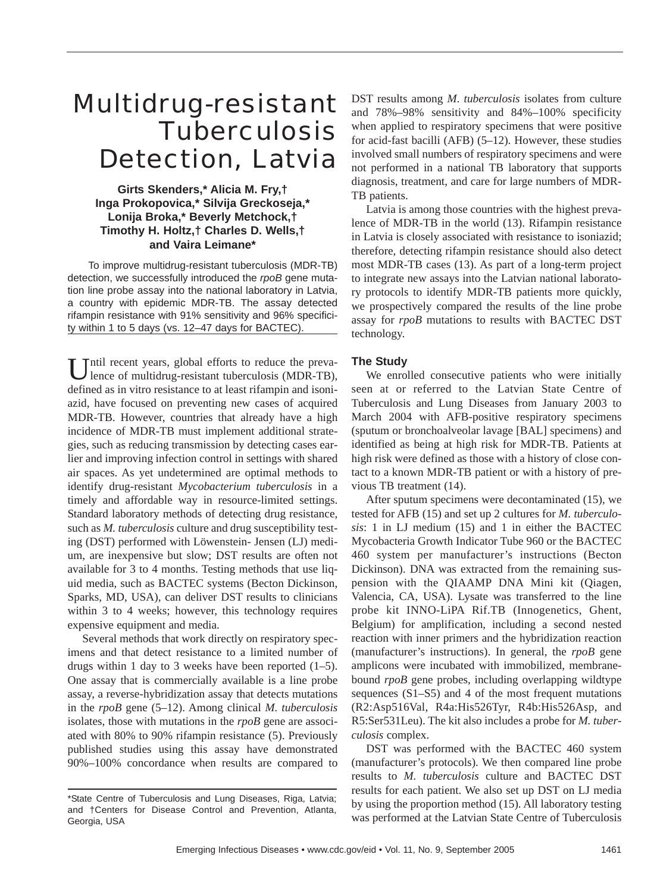# Multidrug-resistant **Tuberculosis** Detection, Latvia

# **Girts Skenders,\* Alicia M. Fry,† Inga Prokopovica,\* Silvija Greckoseja,\* Lonija Broka,\* Beverly Metchock,† Timothy H. Holtz,† Charles D. Wells,† and Vaira Leimane\***

To improve multidrug-resistant tuberculosis (MDR-TB) detection, we successfully introduced the *rpoB* gene mutation line probe assay into the national laboratory in Latvia, a country with epidemic MDR-TB. The assay detected rifampin resistance with 91% sensitivity and 96% specificity within 1 to 5 days (vs. 12–47 days for BACTEC).

Until recent years, global efforts to reduce the preva-<br>lence of multidrug-resistant tuberculosis (MDR-TB), defined as in vitro resistance to at least rifampin and isoniazid, have focused on preventing new cases of acquired MDR-TB. However, countries that already have a high incidence of MDR-TB must implement additional strategies, such as reducing transmission by detecting cases earlier and improving infection control in settings with shared air spaces. As yet undetermined are optimal methods to identify drug-resistant *Mycobacterium tuberculosis* in a timely and affordable way in resource-limited settings. Standard laboratory methods of detecting drug resistance, such as *M. tuberculosis* culture and drug susceptibility testing (DST) performed with Löwenstein- Jensen (LJ) medium, are inexpensive but slow; DST results are often not available for 3 to 4 months. Testing methods that use liquid media, such as BACTEC systems (Becton Dickinson, Sparks, MD, USA), can deliver DST results to clinicians within 3 to 4 weeks; however, this technology requires expensive equipment and media.

Several methods that work directly on respiratory specimens and that detect resistance to a limited number of drugs within 1 day to 3 weeks have been reported  $(1-5)$ . One assay that is commercially available is a line probe assay, a reverse-hybridization assay that detects mutations in the *rpoB* gene (5–12). Among clinical *M. tuberculosis* isolates, those with mutations in the *rpoB* gene are associated with 80% to 90% rifampin resistance (5). Previously published studies using this assay have demonstrated 90%–100% concordance when results are compared to

DST results among *M*. *tuberculosis* isolates from culture and 78%–98% sensitivity and 84%–100% specificity when applied to respiratory specimens that were positive for acid-fast bacilli (AFB) (5–12). However, these studies involved small numbers of respiratory specimens and were not performed in a national TB laboratory that supports diagnosis, treatment, and care for large numbers of MDR-TB patients.

Latvia is among those countries with the highest prevalence of MDR-TB in the world (13). Rifampin resistance in Latvia is closely associated with resistance to isoniazid; therefore, detecting rifampin resistance should also detect most MDR-TB cases (13). As part of a long-term project to integrate new assays into the Latvian national laboratory protocols to identify MDR-TB patients more quickly, we prospectively compared the results of the line probe assay for *rpoB* mutations to results with BACTEC DST technology.

# **The Study**

We enrolled consecutive patients who were initially seen at or referred to the Latvian State Centre of Tuberculosis and Lung Diseases from January 2003 to March 2004 with AFB-positive respiratory specimens (sputum or bronchoalveolar lavage [BAL] specimens) and identified as being at high risk for MDR-TB. Patients at high risk were defined as those with a history of close contact to a known MDR-TB patient or with a history of previous TB treatment (14).

After sputum specimens were decontaminated (15), we tested for AFB (15) and set up 2 cultures for *M. tuberculosis*: 1 in LJ medium (15) and 1 in either the BACTEC Mycobacteria Growth Indicator Tube 960 or the BACTEC 460 system per manufacturer's instructions (Becton Dickinson). DNA was extracted from the remaining suspension with the QIAAMP DNA Mini kit (Qiagen, Valencia, CA, USA). Lysate was transferred to the line probe kit INNO-LiPA Rif.TB (Innogenetics, Ghent, Belgium) for amplification, including a second nested reaction with inner primers and the hybridization reaction (manufacturer's instructions). In general, the *rpoB* gene amplicons were incubated with immobilized, membranebound *rpoB* gene probes, including overlapping wildtype sequences (S1–S5) and 4 of the most frequent mutations (R2:Asp516Val, R4a:His526Tyr, R4b:His526Asp, and R5:Ser531Leu). The kit also includes a probe for *M. tuberculosis* complex.

DST was performed with the BACTEC 460 system (manufacturer's protocols). We then compared line probe results to *M. tuberculosis* culture and BACTEC DST results for each patient. We also set up DST on LJ media by using the proportion method (15). All laboratory testing was performed at the Latvian State Centre of Tuberculosis

<sup>\*</sup>State Centre of Tuberculosis and Lung Diseases, Riga, Latvia; and †Centers for Disease Control and Prevention, Atlanta, Georgia, USA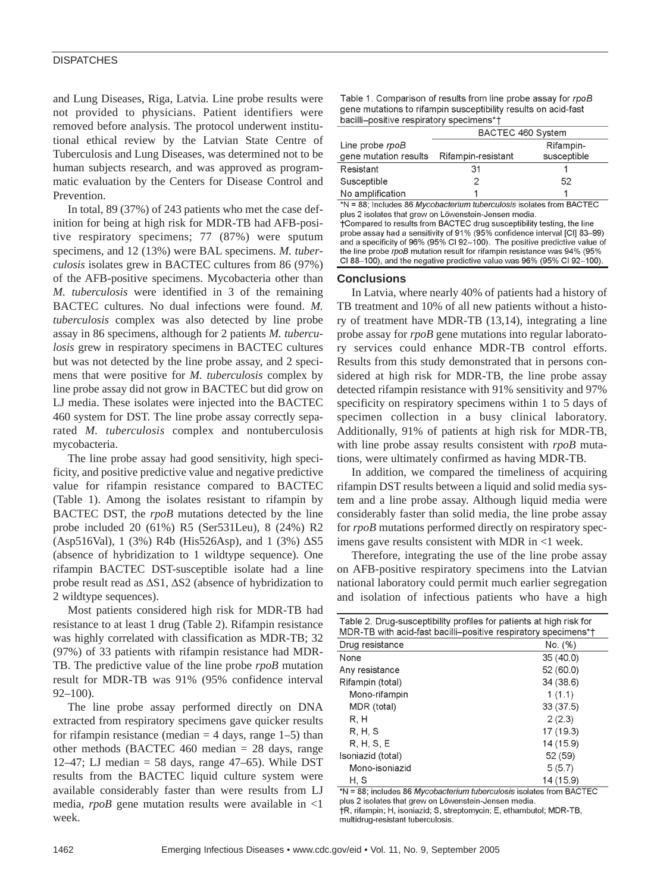## **DISPATCHES**

and Lung Diseases, Riga, Latvia. Line probe results were not provided to physicians. Patient identifiers were removed before analysis. The protocol underwent institutional ethical review by the Latvian State Centre of Tuberculosis and Lung Diseases, was determined not to be human subjects research, and was approved as programmatic evaluation by the Centers for Disease Control and Prevention.

In total, 89 (37%) of 243 patients who met the case definition for being at high risk for MDR-TB had AFB-positive respiratory specimens; 77 (87%) were sputum specimens, and 12 (13%) were BAL specimens. *M. tuberculosis* isolates grew in BACTEC cultures from 86 (97%) of the AFB-positive specimens. Mycobacteria other than *M. tuberculosis* were identified in 3 of the remaining BACTEC cultures. No dual infections were found. *M. tuberculosis* complex was also detected by line probe assay in 86 specimens, although for 2 patients *M. tuberculosis* grew in respiratory specimens in BACTEC cultures but was not detected by the line probe assay, and 2 specimens that were positive for *M. tuberculosis* complex by line probe assay did not grow in BACTEC but did grow on LJ media. These isolates were injected into the BACTEC 460 system for DST. The line probe assay correctly separated *M. tuberculosis* complex and nontuberculosis mycobacteria.

The line probe assay had good sensitivity, high specificity, and positive predictive value and negative predictive value for rifampin resistance compared to BACTEC (Table 1). Among the isolates resistant to rifampin by BACTEC DST, the *rpoB* mutations detected by the line probe included 20 (61%) R5 (Ser531Leu), 8 (24%) R2 (Asp516Val), 1 (3%) R4b (His526Asp), and 1 (3%) ∆S5 (absence of hybridization to 1 wildtype sequence). One rifampin BACTEC DST-susceptible isolate had a line probe result read as ∆S1, ∆S2 (absence of hybridization to 2 wildtype sequences).

Most patients considered high risk for MDR-TB had resistance to at least 1 drug (Table 2). Rifampin resistance was highly correlated with classification as MDR-TB; 32 (97%) of 33 patients with rifampin resistance had MDR-TB. The predictive value of the line probe *rpoB* mutation result for MDR-TB was 91% (95% confidence interval 92–100).

The line probe assay performed directly on DNA extracted from respiratory specimens gave quicker results for rifampin resistance (median  $=$  4 days, range 1–5) than other methods (BACTEC 460 median = 28 days, range 12–47; LJ median  $=$  58 days, range 47–65). While DST results from the BACTEC liquid culture system were available considerably faster than were results from LJ media, *rpoB* gene mutation results were available in <1 week.

| Table 1. Comparison of results from line probe assay for rpoB  |
|----------------------------------------------------------------|
| gene mutations to rifampin susceptibility results on acid-fast |
| bacilli-positive respiratory specimens*+                       |

|                       | BACTEC 460 System  |             |
|-----------------------|--------------------|-------------|
| Line probe rpoB       |                    | Rifampin-   |
| gene mutation results | Rifampin-resistant | susceptible |
| Resistant             | 31                 |             |
| Susceptible           |                    | 52          |
| No amplification      |                    |             |

\*N = 88; Includes 86 Mycobacterium tuberculosis isolates from BACTEC plus 2 isolates that grew on Löwenstein-Jensen media. +Compared to results from BACTEC drug susceptibility testing, the line probe assay had a sensitivity of 91% (95% confidence interval [CI] 83-99) and a specificity of 96% (95% CI 92-100). The positive predictive value of the line probe rpoB mutation result for rifampin resistance was 94% (95%)

CI 88-100), and the negative predictive value was 96% (95% CI 92-100).

#### **Conclusions**

In Latvia, where nearly 40% of patients had a history of TB treatment and 10% of all new patients without a history of treatment have MDR-TB (13,14), integrating a line probe assay for *rpoB* gene mutations into regular laboratory services could enhance MDR-TB control efforts. Results from this study demonstrated that in persons considered at high risk for MDR-TB, the line probe assay detected rifampin resistance with 91% sensitivity and 97% specificity on respiratory specimens within 1 to 5 days of specimen collection in a busy clinical laboratory. Additionally, 91% of patients at high risk for MDR-TB, with line probe assay results consistent with *rpoB* mutations, were ultimately confirmed as having MDR-TB.

In addition, we compared the timeliness of acquiring rifampin DST results between a liquid and solid media system and a line probe assay. Although liquid media were considerably faster than solid media, the line probe assay for *rpoB* mutations performed directly on respiratory specimens gave results consistent with MDR in <1 week.

Therefore, integrating the use of the line probe assay on AFB-positive respiratory specimens into the Latvian national laboratory could permit much earlier segregation and isolation of infectious patients who have a high

| Table 2. Drug-susceptibility profiles for patients at high risk for<br>MDR-TB with acid-fast bacilli-positive respiratory specimens*† |           |  |
|---------------------------------------------------------------------------------------------------------------------------------------|-----------|--|
| Drug resistance                                                                                                                       | No. (%)   |  |
| None                                                                                                                                  | 35(40.0)  |  |
| Any resistance                                                                                                                        | 52 (60.0) |  |
| Rifampin (total)                                                                                                                      | 34 (38.6) |  |
| Mono-rifampin                                                                                                                         | 1(1.1)    |  |
| MDR (total)                                                                                                                           | 33(37.5)  |  |
| R.H                                                                                                                                   | 2(2.3)    |  |
| R. H. S                                                                                                                               | 17 (19.3) |  |
| R. H. S. E                                                                                                                            | 14 (15.9) |  |
| Isoniazid (total)                                                                                                                     | 52 (59)   |  |
| Mono-isoniazid                                                                                                                        | 5(5.7)    |  |
| H, S                                                                                                                                  | 14 (15.9) |  |

\*N = 88; includes 86 Mycobacterium tuberculosis isolates from BACTEC plus 2 isolates that grew on Löwenstein-Jensen media.

†R, rifampin; H, isoniazid; S, streptomycin; E, ethambutol; MDR-TB, multidrug-resistant tuberculosis.